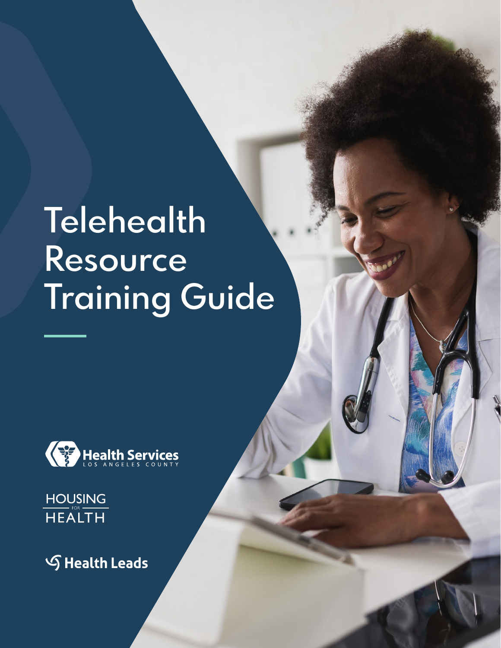# **Telehealth Resource Training Guide**

**<sup>1</sup> <sup>1</sup> <sup>1</sup>** TELEHEALTH RESOURCE TRAINING GUIDE



**HOUSING HEALTH** 

**S** Health Leads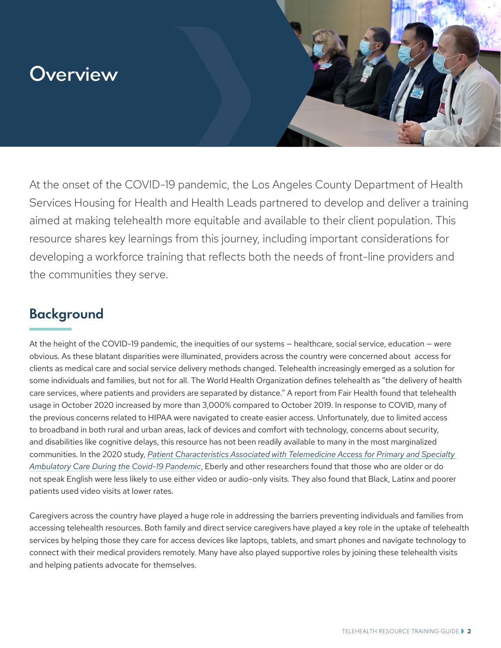# **Overview**

At the onset of the COVID-19 pandemic, the Los Angeles County Department of Health Services Housing for Health and Health Leads partnered to develop and deliver a training aimed at making telehealth more equitable and available to their client population. This resource shares key learnings from this journey, including important considerations for developing a workforce training that reflects both the needs of front-line providers and the communities they serve.

### **Background**

At the height of the COVID-19 pandemic, the inequities of our systems — healthcare, social service, education — were obvious. As these blatant disparities were illuminated, providers across the country were concerned about access for clients as medical care and social service delivery methods changed. Telehealth increasingly emerged as a solution for some individuals and families, but not for all. The World Health Organization defines telehealth as "the delivery of health care services, where patients and providers are separated by distance." A report from Fair Health found that telehealth usage in October 2020 increased by more than 3,000% compared to October 2019. In response to COVID, many of the previous concerns related to HIPAA were navigated to create easier access. Unfortunately, due to limited access to broadband in both rural and urban areas, lack of devices and comfort with technology, concerns about security, and disabilities like cognitive delays, this resource has not been readily available to many in the most marginalized communities. In the 2020 study, *[Patient Characteristics Associated with Telemedicine Access for Primary and Specialty](https://jamanetwork.com/journals/jamanetworkopen/fullarticle/2774488?resultClick=3)  [Ambulatory Care During the Covid-19 Pandemic](https://jamanetwork.com/journals/jamanetworkopen/fullarticle/2774488?resultClick=3)*, Eberly and other researchers found that those who are older or do not speak English were less likely to use either video or audio-only visits. They also found that Black, Latinx and poorer patients used video visits at lower rates.

Caregivers across the [country](https://healthleadsusa.org/nationalcaregiversummit/) have played a huge role in addressing the barriers preventing individuals and families from accessing telehealth resources. Both family and direct service caregivers have played a key role in the uptake of telehealth services by helping those they care for access devices like laptops, tablets, and smart phones and navigate technology to connect with their medical providers remotely. Many have also played supportive roles by joining these telehealth visits and helping patients advocate for themselves.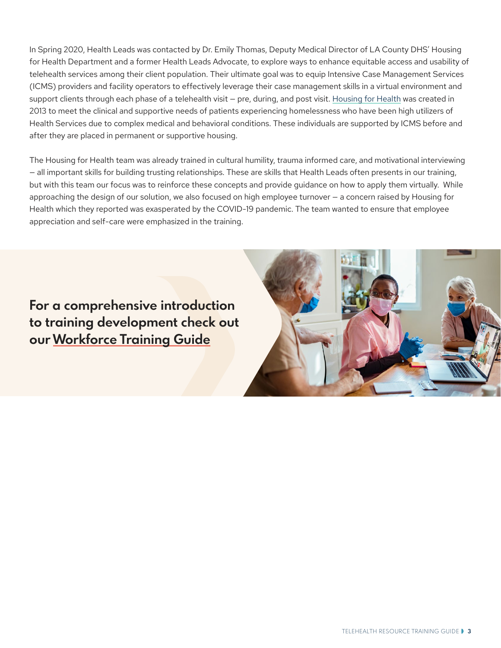In Spring 2020, Health Leads was contacted by Dr. Emily Thomas, Deputy Medical Director of LA County DHS' Housing for Health Department and a former Health Leads Advocate, to explore ways to enhance equitable access and usability of telehealth services among their client population. Their ultimate goal was to equip Intensive Case Management Services (ICMS) providers and facility operators to effectively leverage their case management skills in a virtual environment and support clients through each phase of a telehealth visit — pre, during, and post visit. [Housing for Health](https://dhs.lacounty.gov/our-services/housing/) was created in 2013 to meet the clinical and supportive needs of patients experiencing homelessness who have been high utilizers of Health Services due to complex medical and behavioral conditions. These individuals are supported by ICMS before and after they are placed in permanent or supportive housing.

The Housing for Health team was already trained in cultural humility, trauma informed care, and motivational interviewing — all important skills for building trusting relationships. These are skills that Health Leads often presents in our training, but with this team our focus was to reinforce these concepts and provide guidance on how to apply them virtually. While approaching the design of our solution, we also focused on high employee turnover — a concern raised by Housing for Health which they reported was exasperated by the COVID-19 pandemic. The team wanted to ensure that employee appreciation and self-care were emphasized in the training.

**For a comprehensive introduction to training development check out our [Workforce Training Guide](https://healthleadsusa.org/resources/we-need-a-community-based-essential-resource-workforce-and-the-training-to-support-them/)**

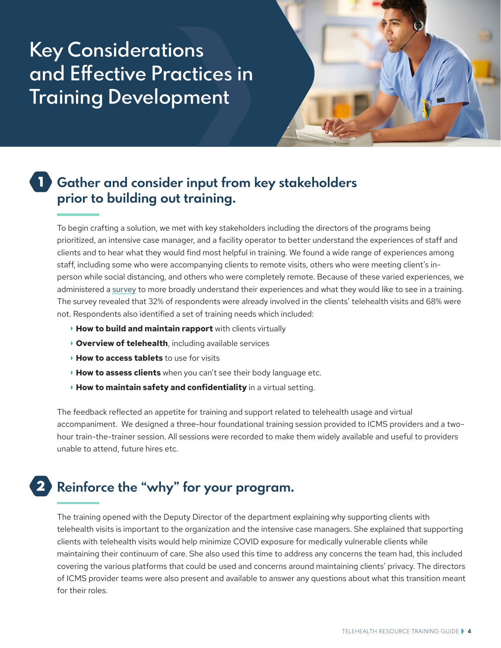# **Key Considerations and Effective Practices in Training Development**



#### **Gather and consider input from key stakeholders prior to building out training.** 1

To begin crafting a solution, we met with key stakeholders including the directors of the programs being prioritized, an intensive case manager, and a facility operator to better understand the experiences of staff and clients and to hear what they would find most helpful in training. We found a wide range of experiences among staff, including some who were accompanying clients to remote visits, others who were meeting client's inperson while social distancing, and others who were completely remote. Because of these varied experiences, we administered a [survey](https://docs.google.com/document/d/1ManYPyXBDAIVuYZV0Ksvw78gUdeE2MTjFcHjK4VSD0M/edit) to more broadly understand their experiences and what they would like to see in a training. The survey revealed that 32% of respondents were already involved in the clients' telehealth visits and 68% were not. Respondents also identified a set of training needs which included:

- **How to build and maintain rapport** with clients virtually
- **Overview of telehealth**, including available services
- **How to access tablets** to use for visits
- **How to assess clients** when you can't see their body language etc.
- **How to maintain safety and confidentiality** in a virtual setting.

The feedback reflected an appetite for training and support related to telehealth usage and virtual accompaniment. We designed a three-hour foundational training session provided to ICMS providers and a twohour train-the-trainer session. All sessions were recorded to make them widely available and useful to providers unable to attend, future hires etc.

# **Reinforce the "why" for your program.** 2

The training opened with the Deputy Director of the department explaining why supporting clients with telehealth visits is important to the organization and the intensive case managers. She explained that supporting clients with telehealth visits would help minimize COVID exposure for medically vulnerable clients while maintaining their continuum of care. She also used this time to address any concerns the team had, this included covering the various platforms that could be used and concerns around maintaining clients' privacy. The directors of ICMS provider teams were also present and available to answer any questions about what this transition meant for their roles.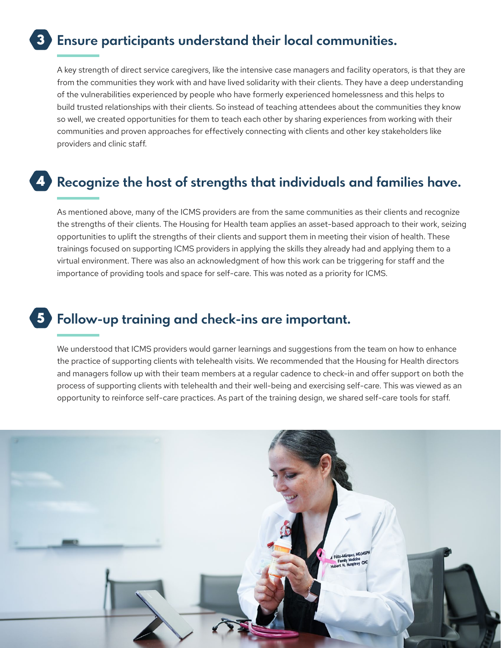#### **Ensure participants understand their local communities.** 3

A key strength of direct service caregivers, like the intensive case managers and facility operators, is that they are from the communities they work with and have lived solidarity with their clients. They have a deep understanding of the vulnerabilities experienced by people who have formerly experienced homelessness and this helps to build trusted relationships with their clients. So instead of teaching attendees about the communities they know so well, we created opportunities for them to teach each other by sharing experiences from working with their communities and proven approaches for effectively connecting with clients and other key stakeholders like providers and clinic staff.

### **Recognize the host of strengths that individuals and families have.** 4

As mentioned above, many of the ICMS providers are from the same communities as their clients and recognize the strengths of their clients. The Housing for Health team applies an asset-based approach to their work, seizing opportunities to uplift the strengths of their clients and support them in meeting their vision of health. These trainings focused on supporting ICMS providers in applying the skills they already had and applying them to a virtual environment. There was also an acknowledgment of how this work can be triggering for staff and the importance of providing tools and space for self-care. This was noted as a priority for ICMS.

## **Follow-up training and check-ins are important.** 5

We understood that ICMS providers would garner learnings and suggestions from the team on how to enhance the practice of supporting clients with telehealth visits. We recommended that the Housing for Health directors and managers follow up with their team members at a regular cadence to check-in and offer support on both the process of supporting clients with telehealth and their well-being and exercising self-care. This was viewed as an opportunity to reinforce self-care practices. As part of the training design, we shared self-care tools for staff.

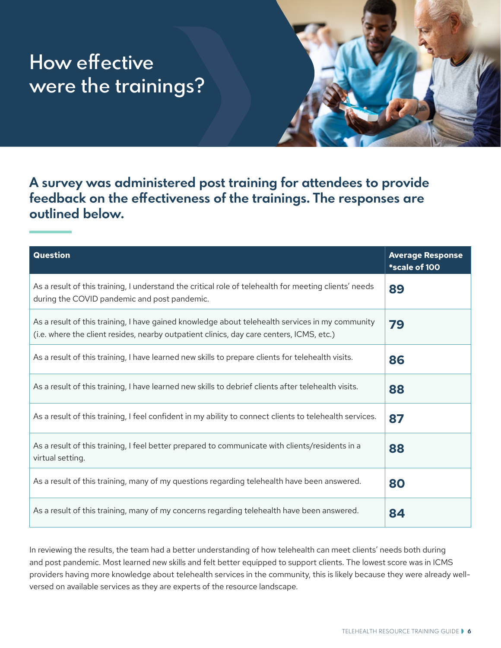# **How effective were the trainings?**

**A survey was administered post training for attendees to provide feedback on the effectiveness of the trainings. The responses are outlined below.**

| Question                                                                                                                                                                                    | <b>Average Response</b><br>*scale of 100 |
|---------------------------------------------------------------------------------------------------------------------------------------------------------------------------------------------|------------------------------------------|
| As a result of this training, I understand the critical role of telehealth for meeting clients' needs<br>during the COVID pandemic and post pandemic.                                       | 89                                       |
| As a result of this training, I have gained knowledge about telehealth services in my community<br>(i.e. where the client resides, nearby outpatient clinics, day care centers, ICMS, etc.) | 79                                       |
| As a result of this training, I have learned new skills to prepare clients for telehealth visits.                                                                                           | 86                                       |
| As a result of this training, I have learned new skills to debrief clients after telehealth visits.                                                                                         | 88                                       |
| As a result of this training, I feel confident in my ability to connect clients to telehealth services.                                                                                     | 87                                       |
| As a result of this training, I feel better prepared to communicate with clients/residents in a<br>virtual setting.                                                                         | 88                                       |
| As a result of this training, many of my questions regarding telehealth have been answered.                                                                                                 | 80                                       |
| As a result of this training, many of my concerns regarding telehealth have been answered.                                                                                                  | 84                                       |

In reviewing the results, the team had a better understanding of how telehealth can meet clients' needs both during and post pandemic. Most learned new skills and felt better equipped to support clients. The lowest score was in ICMS providers having more knowledge about telehealth services in the community, this is likely because they were already wellversed on available services as they are experts of the resource landscape.